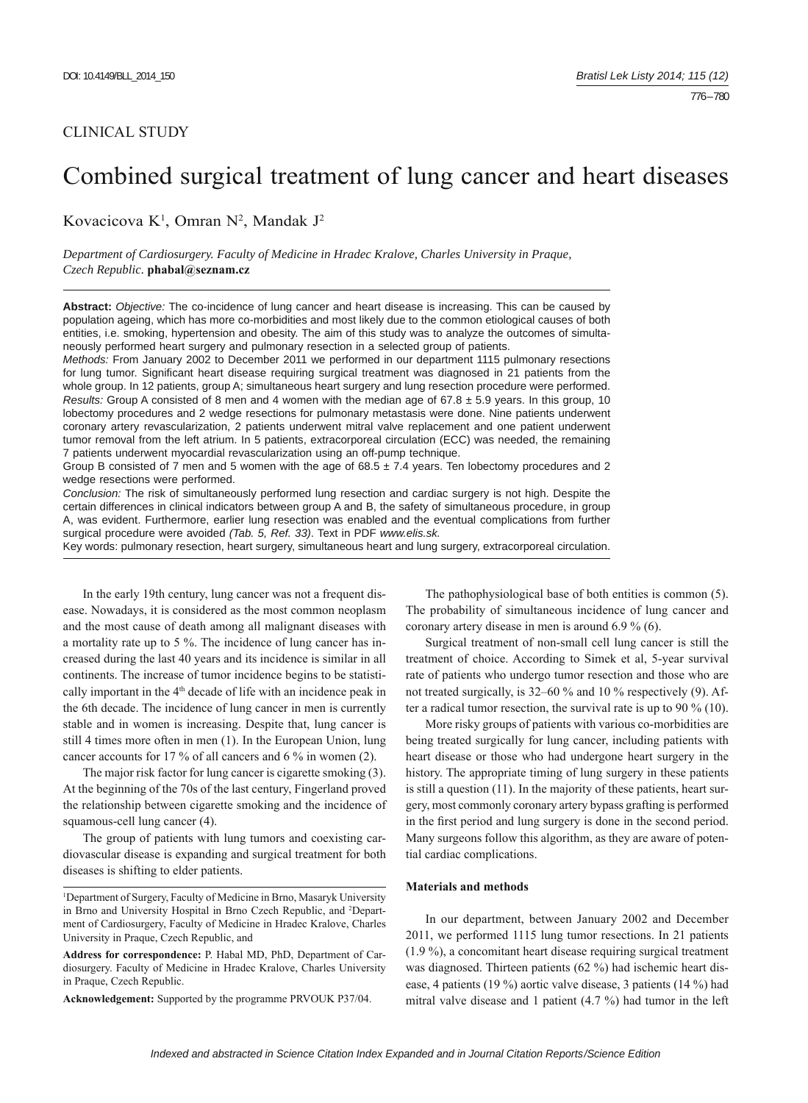## CLINICAL STUDY

# Combined surgical treatment of lung cancer and heart diseases

Kovacicova K<sup>1</sup>, Omran N<sup>2</sup>, Mandak J<sup>2</sup>

*Department of Cardiosurgery. Faculty of Medicine in Hradec Kralove, Charles University in Praque, Czech Republic.* **phabal@seznam.cz**

**Abstract:** *Objective:* The co-incidence of lung cancer and heart disease is increasing. This can be caused by population ageing, which has more co-morbidities and most likely due to the common etiological causes of both entities, i.e. smoking, hypertension and obesity. The aim of this study was to analyze the outcomes of simultaneously performed heart surgery and pulmonary resection in a selected group of patients.

*Methods:* From January 2002 to December 2011 we performed in our department 1115 pulmonary resections for lung tumor. Significant heart disease requiring surgical treatment was diagnosed in 21 patients from the whole group. In 12 patients, group A; simultaneous heart surgery and lung resection procedure were performed. *Results:* Group A consisted of 8 men and 4 women with the median age of 67.8 ± 5.9 years. In this group, 10 lobectomy procedures and 2 wedge resections for pulmonary metastasis were done. Nine patients underwent coronary artery revascularization, 2 patients underwent mitral valve replacement and one patient underwent tumor removal from the left atrium. In 5 patients, extracorporeal circulation (ECC) was needed, the remaining 7 patients underwent myocardial revascularization using an off-pump technique.

Group B consisted of 7 men and 5 women with the age of  $68.5 \pm 7.4$  years. Ten lobectomy procedures and 2 wedge resections were performed.

*Conclusion:* The risk of simultaneously performed lung resection and cardiac surgery is not high. Despite the certain differences in clinical indicators between group A and B, the safety of simultaneous procedure, in group A, was evident. Furthermore, earlier lung resection was enabled and the eventual complications from further surgical procedure were avoided *(Tab. 5, Ref. 33)*. Text in PDF *www.elis.sk.*

Key words: pulmonary resection, heart surgery, simultaneous heart and lung surgery, extracorporeal circulation.

In the early 19th century, lung cancer was not a frequent disease. Nowadays, it is considered as the most common neoplasm and the most cause of death among all malignant diseases with a mortality rate up to 5 %. The incidence of lung cancer has increased during the last 40 years and its incidence is similar in all continents. The increase of tumor incidence begins to be statistically important in the 4<sup>th</sup> decade of life with an incidence peak in the 6th decade. The incidence of lung cancer in men is currently stable and in women is increasing. Despite that, lung cancer is still 4 times more often in men (1). In the European Union, lung cancer accounts for 17 % of all cancers and 6 % in women (2).

The major risk factor for lung cancer is cigarette smoking (3). At the beginning of the 70s of the last century, Fingerland proved the relationship between cigarette smoking and the incidence of squamous-cell lung cancer (4).

The group of patients with lung tumors and coexisting cardiovascular disease is expanding and surgical treatment for both diseases is shifting to elder patients.

**Acknowledgement:** Supported by the programme PRVOUK P37/04.

The pathophysiological base of both entities is common (5). The probability of simultaneous incidence of lung cancer and coronary artery disease in men is around 6.9 % (6).

Surgical treatment of non-small cell lung cancer is still the treatment of choice. According to Simek et al, 5-year survival rate of patients who undergo tumor resection and those who are not treated surgically, is 32–60 % and 10 % respectively (9). After a radical tumor resection, the survival rate is up to 90 % (10).

More risky groups of patients with various co-morbidities are being treated surgically for lung cancer, including patients with heart disease or those who had undergone heart surgery in the history. The appropriate timing of lung surgery in these patients is still a question (11). In the majority of these patients, heart surgery, most commonly coronary artery bypass grafting is performed in the first period and lung surgery is done in the second period. Many surgeons follow this algorithm, as they are aware of potential cardiac complications.

## **Materials and methods**

In our department, between January 2002 and December 2011, we performed 1115 lung tumor resections. In 21 patients (1.9 %), a concomitant heart disease requiring surgical treatment was diagnosed. Thirteen patients (62 %) had ischemic heart disease, 4 patients (19 %) aortic valve disease, 3 patients (14 %) had mitral valve disease and 1 patient (4.7 %) had tumor in the left

<sup>1</sup> Department of Surgery, Faculty of Medicine in Brno, Masaryk University in Brno and University Hospital in Brno Czech Republic, and 2 Department of Cardiosurgery, Faculty of Medicine in Hradec Kralove, Charles University in Praque, Czech Republic, and

**Address for correspondence:** P. Habal MD, PhD, Department of Cardiosurgery. Faculty of Medicine in Hradec Kralove, Charles University in Praque, Czech Republic.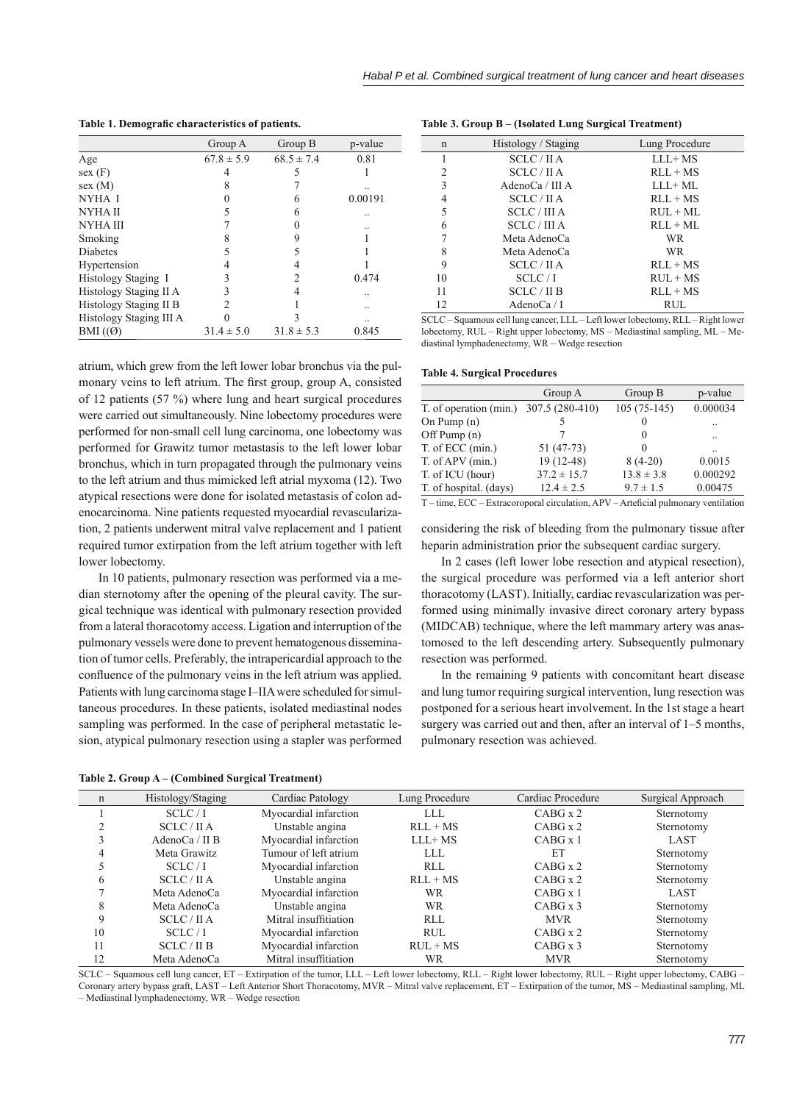Table 1. Demografic characteristics of patients.

|                         | Group A        | Group B        | p-value |
|-------------------------|----------------|----------------|---------|
| Age                     | $67.8 \pm 5.9$ | $68.5 \pm 7.4$ | 0.81    |
| sex(F)                  |                |                |         |
| sex(M)                  | 8              |                |         |
| NYHA I                  |                |                | 0.00191 |
| NYHA II                 |                | 6              |         |
| NYHA III                |                |                |         |
| Smoking                 |                | 9              |         |
| Diabetes                |                |                |         |
| Hypertension            |                |                |         |
| Histology Staging I     |                | 2              | 0.474   |
| Histology Staging II A  |                |                |         |
| Histology Staging II B  |                |                |         |
| Histology Staging III A |                |                |         |
| BMI $((\emptyset)$      | $31.4 \pm 5.0$ | $31.8 \pm 5.3$ | 0.845   |

atrium, which grew from the left lower lobar bronchus via the pulmonary veins to left atrium. The first group, group A, consisted of 12 patients (57 %) where lung and heart surgical procedures were carried out simultaneously. Nine lobectomy procedures were performed for non-small cell lung carcinoma, one lobectomy was performed for Grawitz tumor metastasis to the left lower lobar bronchus, which in turn propagated through the pulmonary veins to the left atrium and thus mimicked left atrial myxoma (12). Two atypical resections were done for isolated metastasis of colon adenocarcinoma. Nine patients requested myocardial revascularization, 2 patients underwent mitral valve replacement and 1 patient required tumor extirpation from the left atrium together with left lower lobectomy.

In 10 patients, pulmonary resection was performed via a median sternotomy after the opening of the pleural cavity. The surgical technique was identical with pulmonary resection provided from a lateral thoracotomy access. Ligation and interruption of the pulmonary vessels were done to prevent hematogenous dissemination of tumor cells. Preferably, the intrapericardial approach to the confluence of the pulmonary veins in the left atrium was applied. Patients with lung carcinoma stage I–IIA were scheduled for simultaneous procedures. In these patients, isolated mediastinal nodes sampling was performed. In the case of peripheral metastatic lesion, atypical pulmonary resection using a stapler was performed

**Table 3. Group B – (Isolated Lung Surgical Treatment)**

| n  | Histology / Staging | Lung Procedure       |
|----|---------------------|----------------------|
|    | SCLC/HA             | $LLL+MS$             |
| 2  | SCLC/IIA            | $RLL + MS$           |
| 3  | AdenoCa / III A     | $LLL+ML$             |
| 4  | SCLC/HA             | $RLL + MS$           |
| 5  | SCLC/IIIA           | $R \text{U} L + M L$ |
| 6  | SCLC/III A          | $RLI + MI$ .         |
| 7  | Meta AdenoCa        | <b>WR</b>            |
| 8  | Meta AdenoCa        | <b>WR</b>            |
| 9  | SCLC/HA             | $RLL + MS$           |
| 10 | SCLC/I              | $RUI + MS$           |
| 11 | SCLC / II B         | $RLL + MS$           |
| 12 | AdenoCa $/$ I       | RUL                  |
|    |                     |                      |

SCLC – Squamous cell lung cancer, LLL – Left lower lobectomy, RLL – Right lower lobectomy, RUL – Right upper lobectomy, MS – Mediastinal sampling, ML – Mediastinal lymphadenectomy, WR – Wedge resection

**Table 4. Surgical Procedures**

|                        | Group A         | Group B        | p-value              |
|------------------------|-----------------|----------------|----------------------|
| T. of operation (min.) | 307.5 (280-410) | $105(75-145)$  | 0.000034             |
| On Pump $(n)$          |                 |                | $\ddot{\phantom{0}}$ |
| Off Pump $(n)$         |                 | $\Omega$       | $\ddotsc$            |
| T. of ECC (min.)       | $51(47-73)$     | $\Omega$       |                      |
| T. of APV (min.)       | $19(12-48)$     | $8(4-20)$      | 0.0015               |
| T. of ICU (hour)       | $37.2 \pm 15.7$ | $13.8 \pm 3.8$ | 0.000292             |
| T. of hospital. (days) | $12.4 \pm 2.5$  | $9.7 \pm 1.5$  | 0.00475              |

T – time, ECC – Extracoroporal circulation, APV – Arteficial pulmonary ventilation

considering the risk of bleeding from the pulmonary tissue after heparin administration prior the subsequent cardiac surgery.

In 2 cases (left lower lobe resection and atypical resection), the surgical procedure was performed via a left anterior short thoracotomy (LAST). Initially, cardiac revascularization was performed using minimally invasive direct coronary artery bypass (MIDCAB) technique, where the left mammary artery was anastomosed to the left descending artery. Subsequently pulmonary resection was performed.

In the remaining 9 patients with concomitant heart disease and lung tumor requiring surgical intervention, lung resection was postponed for a serious heart involvement. In the 1st stage a heart surgery was carried out and then, after an interval of 1–5 months, pulmonary resection was achieved.

|  | Table 2. Group A – (Combined Surgical Treatment) |  |
|--|--------------------------------------------------|--|
|--|--------------------------------------------------|--|

| $\mathbf n$ | Histology/Staging | Cardiac Patology      | Lung Procedure | Cardiac Procedure | Surgical Approach |
|-------------|-------------------|-----------------------|----------------|-------------------|-------------------|
|             | SCLC/I            | Myocardial infarction | LLL.           | $CABG \times 2$   | Sternotomy        |
|             | SCLC/HA           | Unstable angina       | $RLL+MS$       | $CABG \times 2$   | Sternotomy        |
|             | AdenoCa / II B    | Myocardial infarction | $LLL+MS$       | CABG x 1          | LAST              |
| 4           | Meta Grawitz      | Tumour of left atrium | LLL            | ET                | Sternotomy        |
|             | SCLC/I            | Myocardial infarction | <b>RLL</b>     | $CABG \times 2$   | Sternotomy        |
| 6           | SCLC/HA           | Unstable angina       | $RLL + MS$     | CABG x 2          | Sternotomy        |
|             | Meta AdenoCa      | Myocardial infarction | WR             | CABG x 1          | LAST              |
| 8           | Meta AdenoCa      | Unstable angina       | WR             | $CABG \times 3$   | Sternotomy        |
| $\mathbf Q$ | SCLC/HA           | Mitral insuffitiation | <b>RLL</b>     | <b>MVR</b>        | Sternotomy        |
| 10          | SCLC/I            | Myocardial infarction | <b>RUL</b>     | $CABG \times 2$   | Sternotomy        |
| 11          | SCLC/H B          | Myocardial infarction | $RUI + MS$     | $CABG \times 3$   | Sternotomy        |
| 12          | Meta AdenoCa      | Mitral insuffitiation | WR             | <b>MVR</b>        | Sternotomy        |

SCLC – Squamous cell lung cancer, ET – Extirpation of the tumor, LLL – Left lower lobectomy, RLL – Right lower lobectomy, RUL – Right upper lobectomy, CABG – Coronary artery bypass graft, LAST – Left Anterior Short Thoracotomy, MVR – Mitral valve replacement, ET – Extirpation of the tumor, MS – Mediastinal sampling, ML – Mediastinal lymphadenectomy, WR – Wedge resection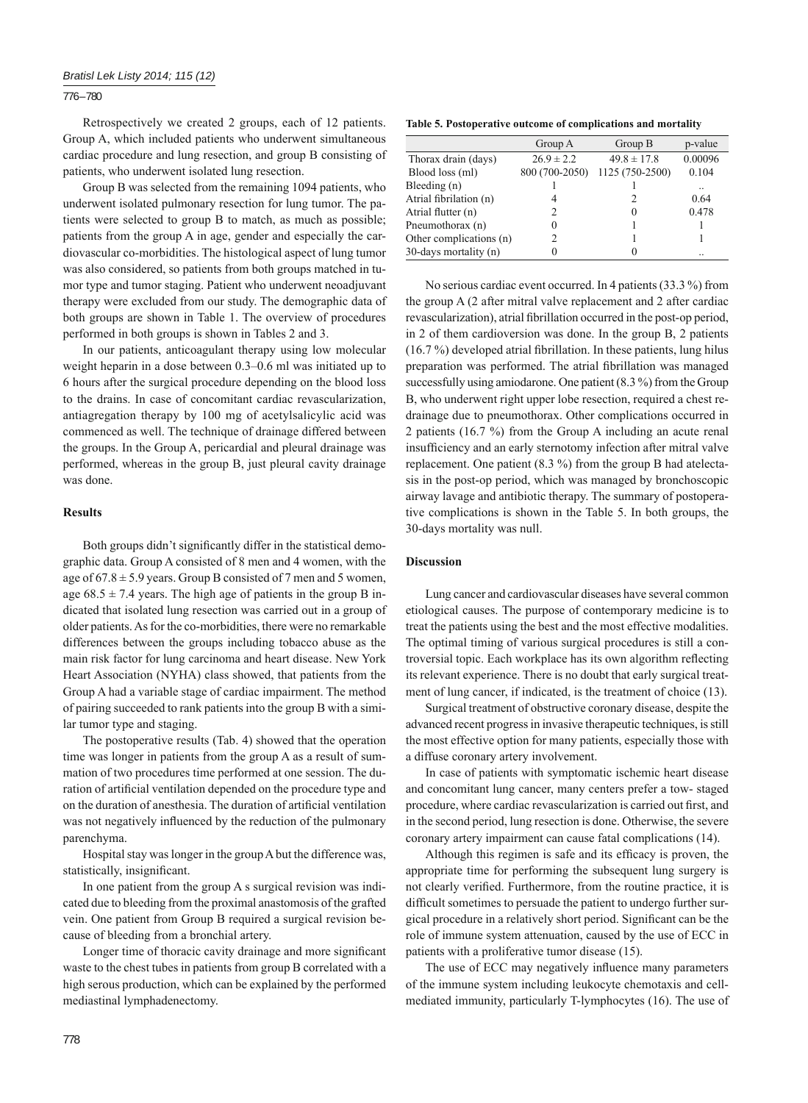#### 776 – 780

Retrospectively we created 2 groups, each of 12 patients. Group A, which included patients who underwent simultaneous cardiac procedure and lung resection, and group B consisting of patients, who underwent isolated lung resection.

Group B was selected from the remaining 1094 patients, who underwent isolated pulmonary resection for lung tumor. The patients were selected to group B to match, as much as possible; patients from the group A in age, gender and especially the cardiovascular co-morbidities. The histological aspect of lung tumor was also considered, so patients from both groups matched in tumor type and tumor staging. Patient who underwent neoadjuvant therapy were excluded from our study. The demographic data of both groups are shown in Table 1. The overview of procedures performed in both groups is shown in Tables 2 and 3.

In our patients, anticoagulant therapy using low molecular weight heparin in a dose between 0.3–0.6 ml was initiated up to 6 hours after the surgical procedure depending on the blood loss to the drains. In case of concomitant cardiac revascularization, antiagregation therapy by 100 mg of acetylsalicylic acid was commenced as well. The technique of drainage differed between the groups. In the Group A, pericardial and pleural drainage was performed, whereas in the group B, just pleural cavity drainage was done.

## **Results**

Both groups didn't significantly differ in the statistical demographic data. Group A consisted of 8 men and 4 women, with the age of  $67.8 \pm 5.9$  years. Group B consisted of 7 men and 5 women, age  $68.5 \pm 7.4$  years. The high age of patients in the group B indicated that isolated lung resection was carried out in a group of older patients. As for the co-morbidities, there were no remarkable differences between the groups including tobacco abuse as the main risk factor for lung carcinoma and heart disease. New York Heart Association (NYHA) class showed, that patients from the Group A had a variable stage of cardiac impairment. The method of pairing succeeded to rank patients into the group B with a similar tumor type and staging.

The postoperative results (Tab. 4) showed that the operation time was longer in patients from the group A as a result of summation of two procedures time performed at one session. The duration of artificial ventilation depended on the procedure type and on the duration of anesthesia. The duration of artificial ventilation was not negatively influenced by the reduction of the pulmonary parenchyma.

Hospital stay was longer in the group A but the difference was, statistically, insignificant.

In one patient from the group A s surgical revision was indicated due to bleeding from the proximal anastomosis of the grafted vein. One patient from Group B required a surgical revision because of bleeding from a bronchial artery.

Longer time of thoracic cavity drainage and more significant waste to the chest tubes in patients from group B correlated with a high serous production, which can be explained by the performed mediastinal lymphadenectomy.

**Table 5. Postoperative outcome of complications and mortality**

|                         | Group A        | Group B         | p-value |
|-------------------------|----------------|-----------------|---------|
| Thorax drain (days)     | $26.9 \pm 2.2$ | $49.8 \pm 17.8$ | 0.00096 |
| Blood loss (ml)         | 800 (700-2050) | 1125 (750-2500) | 0.104   |
| Bleeding (n)            |                |                 |         |
| Atrial fibrilation (n)  | 4              |                 | 0.64    |
| Atrial flutter (n)      |                |                 | 0.478   |
| Pneumothorax (n)        | $\left($       |                 |         |
| Other complications (n) |                |                 |         |
| 30-days mortality (n)   |                |                 |         |

No serious cardiac event occurred. In 4 patients (33.3 %) from the group A (2 after mitral valve replacement and 2 after cardiac revascularization), atrial fibrillation occurred in the post-op period, in 2 of them cardioversion was done. In the group B, 2 patients  $(16.7%)$  developed atrial fibrillation. In these patients, lung hilus preparation was performed. The atrial fibrillation was managed successfully using amiodarone. One patient (8.3%) from the Group B, who underwent right upper lobe resection, required a chest redrainage due to pneumothorax. Other complications occurred in 2 patients (16.7 %) from the Group A including an acute renal insufficiency and an early sternotomy infection after mitral valve replacement. One patient (8.3 %) from the group B had atelectasis in the post-op period, which was managed by bronchoscopic airway lavage and antibiotic therapy. The summary of postoperative complications is shown in the Table 5. In both groups, the 30-days mortality was null.

#### **Discussion**

Lung cancer and cardiovascular diseases have several common etiological causes. The purpose of contemporary medicine is to treat the patients using the best and the most effective modalities. The optimal timing of various surgical procedures is still a controversial topic. Each workplace has its own algorithm reflecting its relevant experience. There is no doubt that early surgical treatment of lung cancer, if indicated, is the treatment of choice (13).

Surgical treatment of obstructive coronary disease, despite the advanced recent progress in invasive therapeutic techniques, is still the most effective option for many patients, especially those with a diffuse coronary artery involvement.

In case of patients with symptomatic ischemic heart disease and concomitant lung cancer, many centers prefer a tow- staged procedure, where cardiac revascularization is carried out first, and in the second period, lung resection is done. Otherwise, the severe coronary artery impairment can cause fatal complications (14).

Although this regimen is safe and its efficacy is proven, the appropriate time for performing the subsequent lung surgery is not clearly verified. Furthermore, from the routine practice, it is difficult sometimes to persuade the patient to undergo further surgical procedure in a relatively short period. Significant can be the role of immune system attenuation, caused by the use of ECC in patients with a proliferative tumor disease (15).

The use of ECC may negatively influence many parameters of the immune system including leukocyte chemotaxis and cellmediated immunity, particularly T-lymphocytes (16). The use of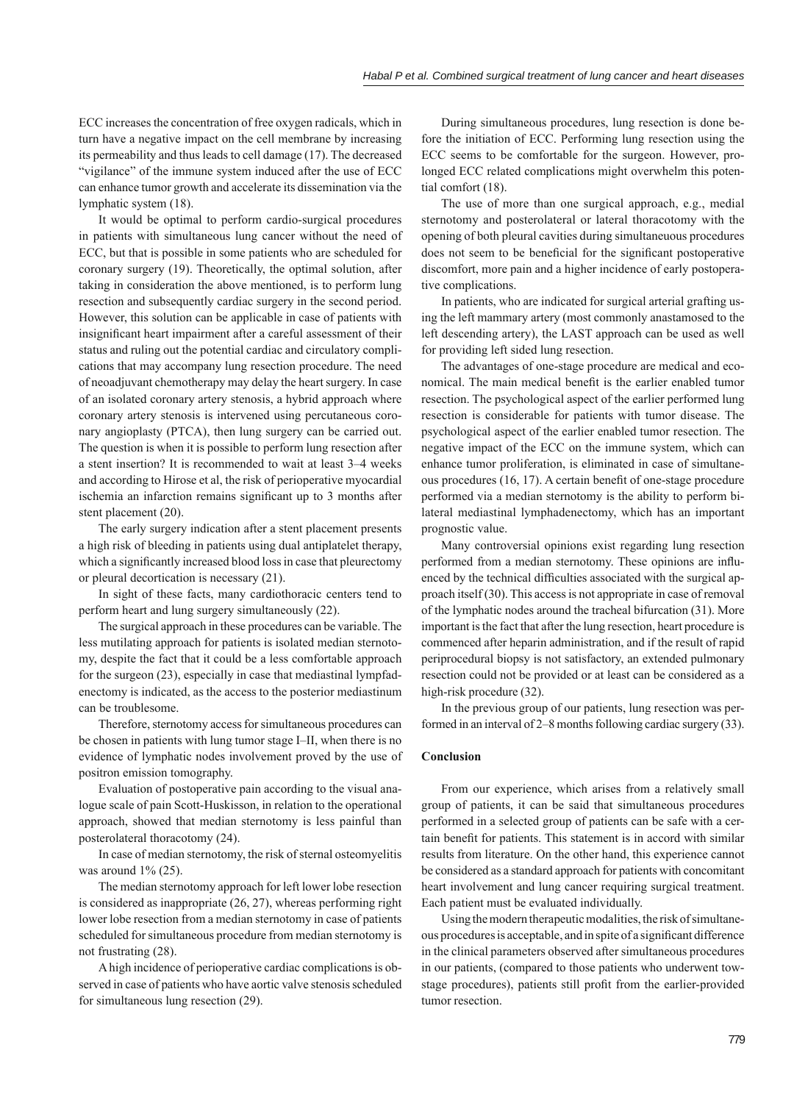ECC increases the concentration of free oxygen radicals, which in turn have a negative impact on the cell membrane by increasing its permeability and thus leads to cell damage (17). The decreased "vigilance" of the immune system induced after the use of ECC can enhance tumor growth and accelerate its dissemination via the lymphatic system (18).

It would be optimal to perform cardio-surgical procedures in patients with simultaneous lung cancer without the need of ECC, but that is possible in some patients who are scheduled for coronary surgery (19). Theoretically, the optimal solution, after taking in consideration the above mentioned, is to perform lung resection and subsequently cardiac surgery in the second period. However, this solution can be applicable in case of patients with insignificant heart impairment after a careful assessment of their status and ruling out the potential cardiac and circulatory complications that may accompany lung resection procedure. The need of neoadjuvant chemotherapy may delay the heart surgery. In case of an isolated coronary artery stenosis, a hybrid approach where coronary artery stenosis is intervened using percutaneous coronary angioplasty (PTCA), then lung surgery can be carried out. The question is when it is possible to perform lung resection after a stent insertion? It is recommended to wait at least 3–4 weeks and according to Hirose et al, the risk of perioperative myocardial ischemia an infarction remains significant up to 3 months after stent placement (20).

The early surgery indication after a stent placement presents a high risk of bleeding in patients using dual antiplatelet therapy, which a significantly increased blood loss in case that pleurectomy or pleural decortication is necessary (21).

In sight of these facts, many cardiothoracic centers tend to perform heart and lung surgery simultaneously (22).

The surgical approach in these procedures can be variable. The less mutilating approach for patients is isolated median sternotomy, despite the fact that it could be a less comfortable approach for the surgeon (23), especially in case that mediastinal lympfadenectomy is indicated, as the access to the posterior mediastinum can be troublesome.

Therefore, sternotomy access for simultaneous procedures can be chosen in patients with lung tumor stage I–II, when there is no evidence of lymphatic nodes involvement proved by the use of positron emission tomography.

Evaluation of postoperative pain according to the visual analogue scale of pain Scott-Huskisson, in relation to the operational approach, showed that median sternotomy is less painful than posterolateral thoracotomy (24).

In case of median sternotomy, the risk of sternal osteomyelitis was around  $1\%$  (25).

The median sternotomy approach for left lower lobe resection is considered as inappropriate (26, 27), whereas performing right lower lobe resection from a median sternotomy in case of patients scheduled for simultaneous procedure from median sternotomy is not frustrating (28).

A high incidence of perioperative cardiac complications is observed in case of patients who have aortic valve stenosis scheduled for simultaneous lung resection (29).

During simultaneous procedures, lung resection is done before the initiation of ECC. Performing lung resection using the ECC seems to be comfortable for the surgeon. However, prolonged ECC related complications might overwhelm this potential comfort (18).

The use of more than one surgical approach, e.g., medial sternotomy and posterolateral or lateral thoracotomy with the opening of both pleural cavities during simultaneuous procedures does not seem to be beneficial for the significant postoperative discomfort, more pain and a higher incidence of early postoperative complications.

In patients, who are indicated for surgical arterial grafting using the left mammary artery (most commonly anastamosed to the left descending artery), the LAST approach can be used as well for providing left sided lung resection.

The advantages of one-stage procedure are medical and economical. The main medical benefit is the earlier enabled tumor resection. The psychological aspect of the earlier performed lung resection is considerable for patients with tumor disease. The psychological aspect of the earlier enabled tumor resection. The negative impact of the ECC on the immune system, which can enhance tumor proliferation, is eliminated in case of simultaneous procedures  $(16, 17)$ . A certain benefit of one-stage procedure performed via a median sternotomy is the ability to perform bilateral mediastinal lymphadenectomy, which has an important prognostic value.

Many controversial opinions exist regarding lung resection performed from a median sternotomy. These opinions are influenced by the technical difficulties associated with the surgical approach itself (30). This access is not appropriate in case of removal of the lymphatic nodes around the tracheal bifurcation (31). More important is the fact that after the lung resection, heart procedure is commenced after heparin administration, and if the result of rapid periprocedural biopsy is not satisfactory, an extended pulmonary resection could not be provided or at least can be considered as a high-risk procedure (32).

In the previous group of our patients, lung resection was performed in an interval of 2–8 months following cardiac surgery (33).

#### **Conclusion**

From our experience, which arises from a relatively small group of patients, it can be said that simultaneous procedures performed in a selected group of patients can be safe with a certain benefit for patients. This statement is in accord with similar results from literature. On the other hand, this experience cannot be considered as a standard approach for patients with concomitant heart involvement and lung cancer requiring surgical treatment. Each patient must be evaluated individually.

Using the modern therapeutic modalities, the risk of simultaneous procedures is acceptable, and in spite of a significant difference in the clinical parameters observed after simultaneous procedures in our patients, (compared to those patients who underwent towstage procedures), patients still profit from the earlier-provided tumor resection.